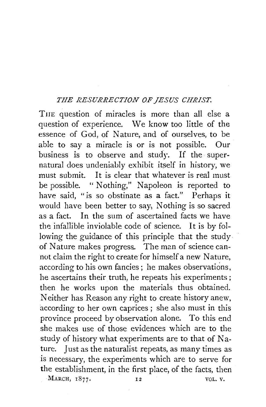## *THE RESURRECTION OF JESUS CHRIST.*

THE question of miracles is more than all else a question of experience. We know too little of the essence of God, of Nature, and of ourselves, to be able to say a miracle is or is not possible. Our business is to observe and study. If the supernatural does undeniably exhibit itself in history, we must submit. It is clear that whatever is real must be possible. " Nothing," Napoleon is reported to have said, "is so obstinate as a fact." Perhaps it would have been better to say, Nothing is so sacred as a fact. In the sum of ascertained facts we have the infallible inviolable code of science. It is by following the guidance of this principle that the study of Nature makes progress. The man of science cannot claim the right to create for himself a new Nature, according to his own fancies; he makes observations, he ascertains their truth, he repeats his experiments ; then he works upon the materials thus obtained. Neither has Reason any right to create history anew, according to her own caprices; she also must in this province proceed by observation alone. To this end she makes use of those evidences which are to the study of history what experiments are to that of  $Na$ ture. Just as the naturalist repeats, as many times as is necessary, the experiments which are to serve for the establishment, in the first place, of the facts, then MARCH, 1877. 12 VOL. V.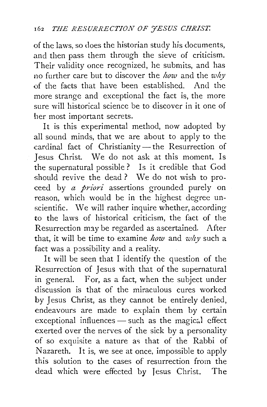of the laws, so does the historian study his documents, and then pass them through the sieve of criticism. Their validity once recognized, he submits, and has no further care but to discover the *how* and the *why*  of the facts that have been established. And. the more strange and exceptional the fact is, the more sure will historical science be to discover in it one of her most important secrets.

It is this experimental method, now adopted by all sound minds, that we are about to apply to the cardinal fact of Christianity- the Resurrection of Jesus Christ. We do not ask at this moment, Is the supernatural possible? Is it credible that God should revive the dead ? We do not wish to proceed by *a priori* assertions grounded purely on reason, which would be in the highest degree un scientific. We will rather inquire whether, according to the laws of historical criticism, the fact of the Resurrection may be regarded as ascertained. After that, it will be time to examine *how* and *why* such a fact was a possibility and a reality.

It will be seen that I identify the question of the Resurrection of Jesus with that of the supernatural in general. For, as a fact, when the subject under discussion is that of the miraculous cures worked by Jesus Christ, as they cannot be entirely denied, endeavours are made to explain them by certain exceptional influences - such as the magical effect exerted over the nerves of the sick by a personality of so exquisite a nature as that of the Rabbi of Nazareth. It is, we see at once, impossible to apply this solution to the cases of resurrection from the dead which were effected by Jesus Christ. The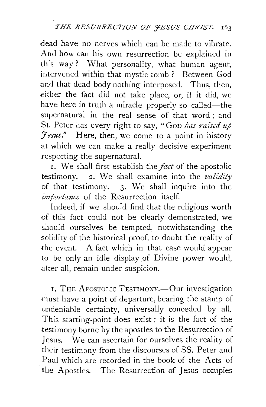dead have no nerves which can be made to vibrate. And how can his own resurrection be explained in this way? What personality, what human agent, intervened within that mystic tomb ? Between God and that dead body nothing interposed. Thus, then, either the fact did not take place, or, if it did, we have here in truth a miracle properly so called-the supernatural in the real sense of that word ; and St. Peter has every right to say, " GoD *has raised up 7esus."* Here, then, we come to a point in history at which we can make a really decisive experiment respecting the supernatural.

1. We shall first establish the *fad* of the apostolic testimony. 2. We shall examine into the *validity* of that testimony. 3· We shall inquire into the *importance* of the Resurrection itself.

Indeed, if we should find that the religious worth of this fact could not be clearly demonstrated, we should ourselves be tempted, notwithstanding the solidity of the historical proof, to doubt the reality of the event. A fact which in that case would appear to be only an idle display of Divine power would, after all, remain under suspicion.

I. THE APOSTOLIC TESTIMONY.-Our investigation must have a point of departure, bearing the stamp of .undeniable certainty, universally conceded by all. This starting-point does exist ; it is the fact of the testimony borne by the apostles to the Resurrection of Jesus. \Ve can ascertain for ourselves the reality of their testimony from the discourses of SS. Peter and Paul which arc recorded in the book of the Acts of the Apostles. The Resurrection of Jesus occupies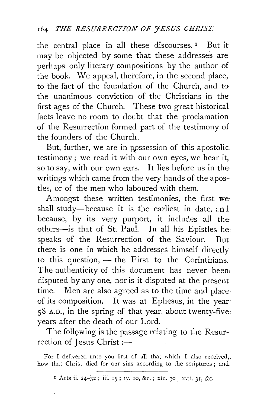the central place in all these discourses.<sup>1</sup> But it may be objected by some that these addresses are perhaps only literary compositions by the author of the book. We appeal, therefore, in the second place, to the fact of the foundation of the Church, and to the unanimous conviction of the Christians in the first ages of the Church. These two great historical facts leave no room to doubt that the proclamation of the Resurrection formed part of the testimony of the founders of the Church.

But, further, we are in ppssession of this apostolic: testimony; we read it with our own eyes, we hear it, so to say, with our own ears. It lies before us in the· writings which came from the very hands of the apostles, or of the men who laboured with them.

Amongst these written testimonies, the first we· shall study-because it is the earliest in date,  $:n$  l because, by its very purport, it includes all the others-is that of St. Paul. In all his Epistles he: speaks of the Resurrection of the Saviour. But there is one in which he addresses himself directly· to this question,  $-$  the First to the Corinthians. The authenticity of this document has never been; disputed by any one, nor is it disputed at the present time. Men are also agreed as to the time and place of its composition. It was at Ephesus, in the year 58 A.D., in the spring of that year, about twenty-five: years after the death of our Lord.

The following is the passage relating to the Resurrection of Jesus Christ :-

For I delivered unto you first of all that which I also received,. how that Christ died for our sins according to the scriptures; and,

<sup>1</sup> Acts ii. 24-32; iii. 15; iv. 10, &c.; xiii. 30; xvii. 31, &c.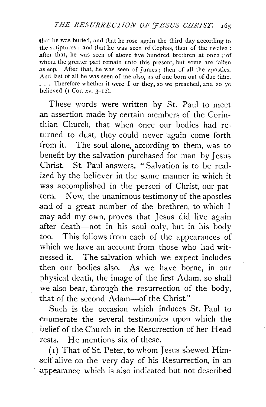that he was buried, and that he rose again the third day according to the scriptures : and that he was seen of Cephas, then of the twelve : .after that, he was seen of above five hundred brethren at once ; of whom the greater part remain unto this present, but some are fallen asleep. After that, he was seen of James; then of all the apostles. And last of all he was seen of me also, as of one born out of due time. ... Therefore whether it were I or they, so we preached, and so ye believed ( $1$  Cor. xv.  $3-12$ ).

These words were written by St. Paul to meet an assertion made by certain members of the Corinthian Church, that when once our bodies had returned to dust, they could never again come forth from it. The soul alone, according to them, was to benefit by the salvation purchased for man by Jesus Christ. St. Paul answers, "Salvation is to be realized by the believer in the same manner in which it was accomplished in the person of Christ, our pattern. Now, the unanimous testimony of the apostles and of a great number of the brethren, to which I may add my own, proves that Jesus did live again after death-not in his soul only, but in his body too. This follows from each of the appearances of which we have an account from those who had witnessed it. The salvation which we expect includes then our bodies also. As we have borne, in our physical death, the image of the first Adam, so shall we also bear, through the resurrection of the body, that of the second Adam-of the Christ."

Such is the occasion which induces St. Paul to enumerate the several testimonies upon which the belief of the Church in the Resurrection of her Head rests. He mentions six of these.

( 1) That of St. Peter, to whom Jesus shewed Himself alive on the very day of his Resurrection, in an .appearance which is also indicated but not described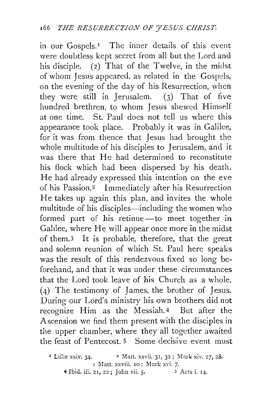in our Gospels.<sup>1</sup> The inner details of this event were doubtless kept secret from all but the Lord and his disciple. (2) That of the Twelve, in the midst of whom Jesus appeared, as related in the Gospds, on the evening of the day of his Resurrection, when they were still in Jerusalem. (3) That of five hundred brethren, to whom Jesus shewcd Himself at one time. St. Paul does not tell us where this appearance took place. Probably it was in Galilee, for it was from thence that Jesus had brought the whole multitude of his disciples to Jerusalem, and it was there that He had determined to reconstitute his flock which had been dispersed by his death. He had already expressed this intention on the eve of his Passion.2 Immediately after his Resurrection He takes up again this plan, and invites the whole multitude of his disciples—including the women who formed part of his retinue -- to meet together in Galilee, where He will appear once more in the midst of them.3 It is probable, therefore, that the great and solemn reunion of which St. Paul here speaks was the result of this rendezvous fixed so long beforehand, and that it was under these circumstances that the Lord took leave of his Church as a whole.  $(4)$  The testimony of James, the brother of Jesus. During our Lord's ministry his own brothers did not recognize Him as the Messiah.4 But after the Ascension we find them present with the disciples in the upper chamber, where they all together awaited the feast of Pentecost. 5 Some decisive event must

<sup>&</sup>lt;sup>1</sup> Luke xxiv. 34. <sup>•</sup> Matt. xxvii. 31, 32; Mark xiv. 27, 28. 3 Matt. xxviii. 10; Mark xvi. 7.<br>21. 22; Iohn vii. 5. 5 Acts i. 14. 4 Ibid. iii. 21, 22; John vii. 5.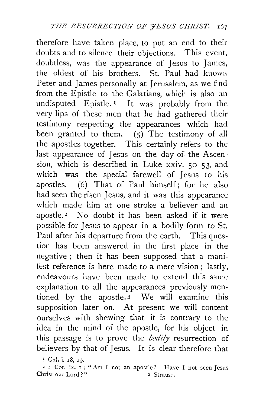therefore have taken place, to put an end to their doubts and to silence their objections. This event, doubtless, was the appearance of Jesus to James, the oldest of his brothers. St. Paul had knowri Peter and James personally at Jerusalem, as we find from the Epistle to the Galatians, which is also an undisputed Epistle.<sup>1</sup> It was probably from the very lips of these men that he had gathered their testimony respecting the appearances which had been granted to them. (5) The testimony of all the apostles together. This certainly refers to the last appearance of Jesus on the day of the Ascension, which is described in Luke xxiv. so-53. and which was the special farewell of Jesus to his apostles.  $(6)$  That of Paul himself; for he also had seen the risen Jesus, and it was this appearance which made him at one stroke a believer and an apostle.<sup>2</sup> No doubt it has been asked if it were possible for Jesus to appear in a bodily form to St. Paul after his departure from the earth. This question has been answered in the first place in the negative ; then it has been supposed that a manifest reference is here made to a mere vision ; lastly, endeavours have been made to extend this same explanation to all the appearances previously mentioned by the apostle. 3 We will examine this supposition later on. At present we will content ourselves with shewing that it is contrary to the idea in the mind of the apostle, for his object in this passage is to prove the *bodily* resurrection of believers by that of Jesus. It is clear therefore that

x Gal. i. IS, I).

<sup>2</sup> I Cor. ix. I : "Am I not an apostle? Have I not seen Jesus<br>hrist our Lord?" 3 Strauss. Christ our Lord?"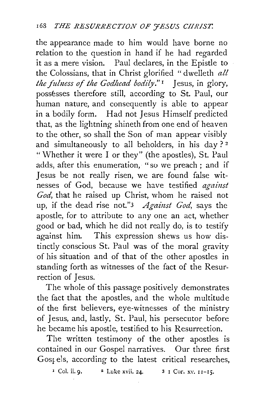the appearance made to him would have borne no relation to the question in hand if he had regarded it as a mere vision. Paul declares, in the Epistle to the Colossians, that in Christ glorified "dwelleth *all*  the fulness of the Godhead bodily."<sup>1</sup> Jesus, in glory, possésses therefore still, according to St. Paul, our human nature, and consequently is able to appear in a bodily form. Had not Jesus Himself predicted that, as the lightning shineth from one end of heaven to the other, so shall the Son of man appear visibly and simultaneously to all beholders, in his day?<sup>2</sup> "Whether it were I or they" (the apostles), St. Paul adds, after this enumeration, "so we preach ; and if Jesus be not really risen, we are found false witnesses of God, because we have testified *against God,* that he raised up Christ, whom he raised not up, if the dead rise not."3 *Against God,* says the apostle, for to attribute to any one an act, whether good or bad, which he did not really do, is to testify against him. This expression shews us how distinctly conscious St. Paul was of the moral gravity of his situation and of that of the other apostles in standing forth as witnesses of the fact of the Resurrection of Jesus.

The whole of this passage positively demonstrates the fact that the apostles, and the whole multitude of the first believers, eye-witnesses of the ministry of Jesus, and, lastly, St. Paul, his persecutor before he became his apostle, testified to his Resurrection.

The written testimony of the other apostles is contained in our Gospel narratives. Our three first Gost els, according to the latest critical researches,

 $\frac{1}{1}$  Col. ii. 9.  $\frac{2}{1}$  Luke xvii. 24.  $\frac{3}{1}$  Cor. xv.  $11-15$ .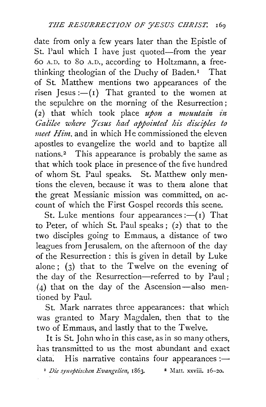date from only a few years later than the Epistle of St. Paul which I have just quoted-from the year 6o A.D. to So A.D., according to Holtzmann, a freethinking theologian of the Duchy of Baden.<sup>1</sup> That of St. Matthew mentions two appearances of the risen Jesus : $-(1)$  That granted to the women at the sepulchre on the morning of the Resurrection;  $(2)$  that which took place  $u$ *pon a mountain in* Galilee where *Jesus had appointed his disciples to meet Him.* and in which He commissioned the eleven apostles to evangelize the world and to baptize all nations.<sup>2</sup> This appearance is probably the same as that which took place in presence-of the five hundred of whom St. Paul speaks. St. Matthew only mentions the eleven, because it was to them alone that the great Messianic mission was committed, on account of which the First Gospel records this scene.

St. Luke mentions four appearances : $-(1)$  That to Peter, of which St. Paul speaks; (2) that to the two disciples going to Emmaus, a distance of two leagues from Jerusalem, on the afternoon of the day of the Resurrection: this is given in detail by Luke alone; (3) that to the Twelve on the evening of the day of the Resurrection-referred to by Paul; (4) that on the day of the Ascension-also mentioned by Paul.

St. Mark narrates three appearances: that which was granted to Mary Magdalen, then that to the two of Emmaus, and lastly that to the Twelve.

It is St. John who in this case, as in so many others, has transmitted to us the most abundant and exact data. His narrative contains four appearances : $-$ 

<sup>1</sup> *Die synoptischen Evangelien*, 1863. <sup>2</sup> Matt. xxviii. 16-20.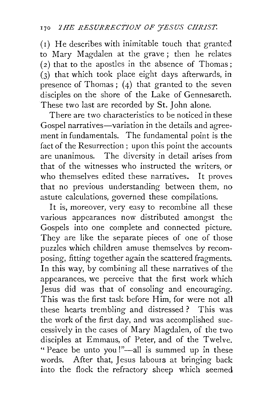( r) He describes with inimitable touch that granted to Mary Magdalen at the grave ; then he relates  $(2)$  that to the apostles in the absence of Thomas; (3) that which took place eight days afterwards, in presence of Thomas; (4) that granted to the seven disciples on the shore of the Lake of Gennesareth. These two last are recorded by St. John alone.

There are two characteristics to be noticed in these Gospel narratives—variation in the details and agreement in fundamentals. The fundamental point is the fact of the Resurrection; upon this point the accounts are unanimous. The diversity in detail arises from that of the witnesses who instructed the writers, or who themselves edited these narratives. It proves that no previous understanding between them, no astute calculations, governed these compilations.

It is, moreover, very easy to recombine all these various appearances now distributed amongst the Gospels into one complete and connected picture. They are like the separate pieces of one of those puzzles which children amuse themselves by recomposing, fitting together again the scattered fragments. In this way, by combining all these narratives of the appearances, we perceive that the first work which Jesus did was that of consoling and encouraging. This was the first task before Him, for were not all these hearts trembling and distressed ? This was the work of the first day, and was accomplished successively in the cases of Mary Magdalen, of the two disciples at Emmaus, of Peter, and of the Twelve. "Peace be unto you!"—all is summed up in these words. After that, Jesus labours at bringing back into the flock the refractory sheep which seemed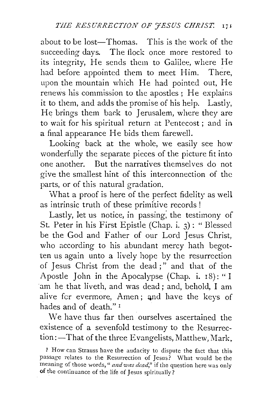about to be lost—Thomas. This is the work of the succeeding days. The flock once more restored to its integrity, He sends them to Galilee, where He had before appointed them to meet Him. There, upon the mountain which He had pointed out, He renews his commission to the apostles ; He explains it to them, and adds the promise of his help. Lastly, He brings them back to Jerusalem, where they are to wait for his spiritual return at Pentecost ; and in a final appearance He bids them farewell.

Looking back at the whole, we easily see how wonderfully the separate pieces of the picture fit into one another. But the narratives themselves do not give the smallest hint of this interconnection of the parts, or of this natural gradation.

What a proof is here of the perfect fidelity as well as intrinsic truth of these primitive records !

Lastly, let us notice, in passing; the testimony of St. Peter in his First Epistle (Chap. i. 3) : " Blessed be the God and Father of our Lord Jesus Christ, who according to his abundant mercy hath begotten us again unto a lively hope by the resurrection of Jesus Christ from the dead ; " and that of the Apostle John in the Apocalypse (Chap. i. 18): "I 'am he that liveth, and was dead; and, behold, I am alive for evermore, Amen; and have the keys of hades and of death." 1

We have thus far then ourselves ascertained the existence of a sevenfold testimony to the Resurrection:—That of the three Evangelists, Matthew, Mark.

<sup>~</sup>How can Strauss have the audacity to dispute the fact that this passage relates to the Resurrection of Jesus? What would be the meaning of those words, " and was dead," if the question here was only of the continuance of the life of Jesus spiritually?